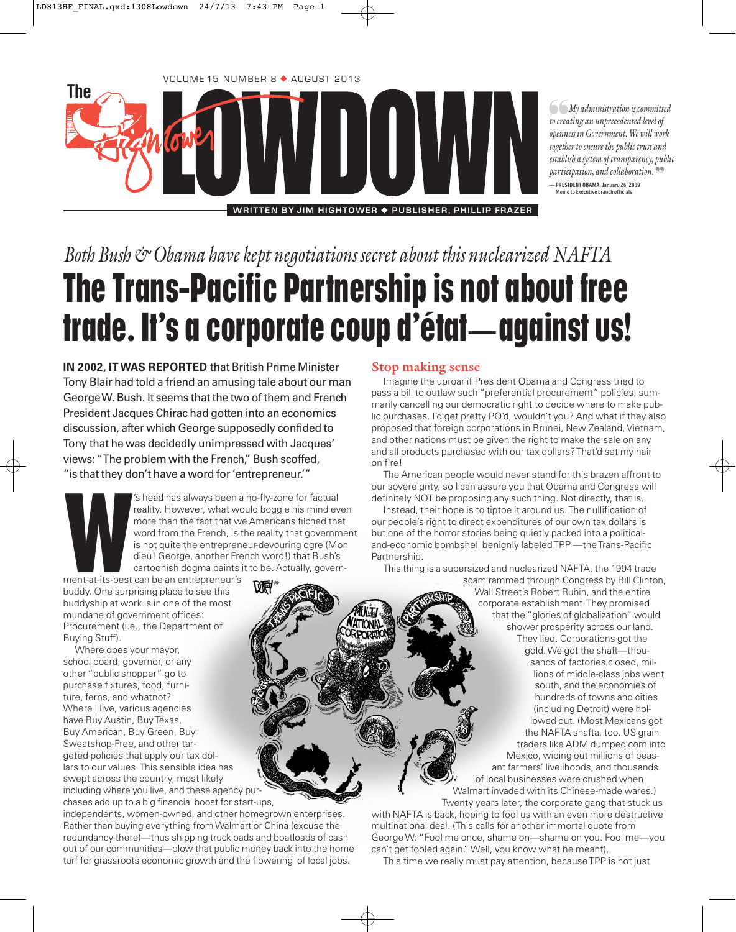

❛❛ *to creating an unprecedented level of* ❜❜ *participation, and collaboration. My administration is committed openness in Government. We will work together to ensure the public trust and establish a system of transparency, public* **—— PRESIDENT OBAMA,** January 26, 2009 no to Executive branch official

## *Both Bush & Obama have kept negotiations secret about this nuclearized NAFTA*  **The Trans-Pacific Partnership is not about free trade. It's a corporate coup d'état—against us!**

**IN 2002, IT WAS REPORTED** that British Prime Minister Tony Blair had told a friend an amusing tale about our man George W. Bush. It seems that the two of them and French President Jacques Chirac had gotten into an economics discussion, after which George supposedly confided to Tony that he was decidedly unimpressed with Jacques' views: "The problem with the French," Bush scoffed, "is that they don't have a word for 'entrepreneur.'"

's head has always been a no-fly-zone for factual reality. However, what would boggle his mind even more than the fact that we Americans filched that word from the French, is the reality that government is not quite the entrepreneur-devouring ogre (Mon dieu! George, another French word!) that Bush's cartoonish dogma paints it to be. Actually, govern-S head has always been a<br>reality. However, what www.<br>more than the fact that w<br>word from the French, is<br>is not quite the entrepreneur<br>dieu! George, another French cartoonish dogma paints<br>when the at-its-best can be an entr

buddy. One surprising place to see this buddyship at work is in one of the most mundane of government offices: Procurement (i.e., the Department of Buying Stuff).

Where does your mayor, school board, governor, or any other "public shopper" go to purchase fixtures, food, furniture, ferns, and whatnot? Where I live, various agencies have Buy Austin, Buy Texas, Buy American, Buy Green, Buy Sweatshop-Free, and other targeted policies that apply our tax dollars to our values. This sensible idea has swept across the country, most likely including where you live, and these agency purchases add up to a big financial boost for start-ups,

independents, women-owned, and other homegrown enterprises. Rather than buying everything from Walmart or China (excuse the redundancy there)—thus shipping truckloads and boatloads of cash out of our communities—plow that public money back into the home turf for grassroots economic growth and the flowering of local jobs.

#### **Stop making sense**

Imagine the uproar if President Obama and Congress tried to pass a bill to outlaw such "preferential procurement" policies, summarily cancelling our democratic right to decide where to make public purchases. I'd get pretty PO'd, wouldn't you? And what if they also proposed that foreign corporations in Brunei, New Zealand, Vietnam, and other nations must be given the right to make the sale on any and all products purchased with our tax dollars? That'd set my hair on fire!

The American people would never stand for this brazen affront to our sovereignty, so I can assure you that Obama and Congress will definitely NOT be proposing any such thing. Not directly, that is.

Instead, their hope is to tiptoe it around us. The nullification of our people's right to direct expenditures of our own tax dollars is but one of the horror stories being quietly packed into a politicaland-economic bombshell benignly labeled TPP —the Trans-Pacific **Partnership** 

This thing is a supersized and nuclearized NAFTA, the 1994 trade

scam rammed through Congress by Bill Clinton, Wall Street's Robert Rubin, and the entire corporate establishment. They promised that the "glories of globalization" would shower prosperity across our land. They lied. Corporations got the gold. We got the shaft—thousands of factories closed, millions of middle-class jobs went south, and the economies of hundreds of towns and cities (including Detroit) were hollowed out. (Most Mexicans got the NAFTA shafta, too. US grain traders like ADM dumped corn into Mexico, wiping out millions of peasant farmers' livelihoods, and thousands of local businesses were crushed when Walmart invaded with its Chinese-made wares.) Twenty years later, the corporate gang that stuck us

with NAFTA is back, hoping to fool us with an even more destructive multinational deal. (This calls for another immortal quote from George W: "Fool me once, shame on—shame on you. Fool me—you can't get fooled again." Well, you know what he meant).

This time we really must pay attention, because TPP is not just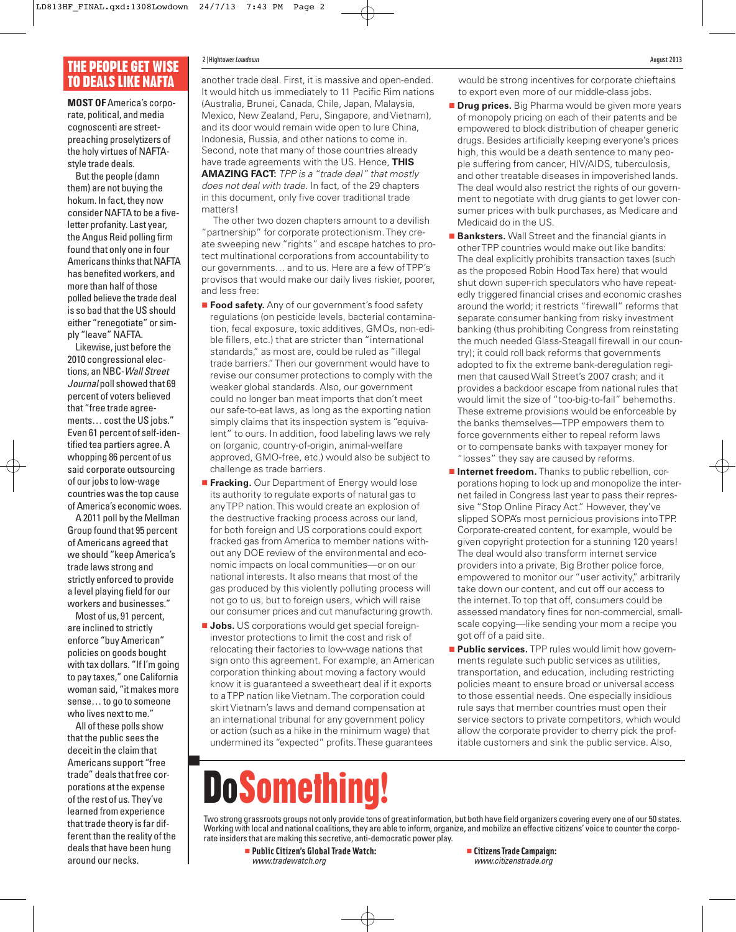### **THE PEOPLE GET WISE TO DEALS LIKE NAFTA**

**MOST OF** America's corporate, political, and media cognoscenti are streetpreaching proselytizers of the holy virtues of NAFTAstyle trade deals.

But the people (damn them) are not buying the hokum. In fact, they now consider NAFTA to be a fiveletter profanity. Last year, the Angus Reid polling firm found that only one in four Americans thinks that NAFTA has benefited workers, and more than half of those polled believe the trade deal is so bad that the US should either "renegotiate" or simply "leave" NAFTA.

Likewise, just before the 2010 congressional elections, an NBC-Wall Street Journal poll showed that 69 percent of voters believed that "free trade agreements… cost the US jobs." Even 61 percent of self-identified tea partiers agree. A whopping 86 percent of us said corporate outsourcing of our jobs to low-wage countries was the top cause of America's economic woes.

A 2011 poll by the Mellman Group found that 95 percent of Americans agreed that we should "keep America's trade laws strong and strictly enforced to provide a level playing field for our workers and businesses."

Most of us, 91 percent, are inclined to strictly enforce "buy American" policies on goods bought with tax dollars. "If I'm going to pay taxes," one California woman said, "it makes more sense… to go to someone who lives next to me."

All of these polls show that the public sees the deceit in the claim that Americans support "free trade" deals that free corporations at the expense of the rest of us. They've learned from experience that trade theory is far different than the reality of the deals that have been hung around our necks.

#### 2 Hightower | *Lowdown* August 2013

another trade deal. First, it is massive and open-ended. It would hitch us immediately to 11 Pacific Rim nations (Australia, Brunei, Canada, Chile, Japan, Malaysia, Mexico, New Zealand, Peru, Singapore, and Vietnam), and its door would remain wide open to lure China, Indonesia, Russia, and other nations to come in. Second, note that many of those countries already have trade agreements with the US. Hence, **THIS AMAZING FACT:** TPP is a "trade deal" that mostly does not deal with trade. In fact, of the 29 chapters in this document, only five cover traditional trade matters!

The other two dozen chapters amount to a devilish "partnership" for corporate protectionism. They create sweeping new "rights" and escape hatches to protect multinational corporations from accountability to our governments… and to us. Here are a few of TPP's provisos that would make our daily lives riskier, poorer, and less free:

- **Food safety.** Any of our government's food safety regulations (on pesticide levels, bacterial contamination, fecal exposure, toxic additives, GMOs, non-edible fillers, etc.) that are stricter than "international standards," as most are, could be ruled as "illegal trade barriers." Then our government would have to revise our consumer protections to comply with the weaker global standards. Also, our government could no longer ban meat imports that don't meet our safe-to-eat laws, as long as the exporting nation simply claims that its inspection system is "equivalent" to ours. In addition, food labeling laws we rely on (organic, country-of-origin, animal-welfare approved, GMO-free, etc.) would also be subject to challenge as trade barriers.
- **Fracking.** Our Department of Energy would lose its authority to regulate exports of natural gas to any TPP nation. This would create an explosion of the destructive fracking process across our land, for both foreign and US corporations could export fracked gas from America to member nations without any DOE review of the environmental and economic impacts on local communities—or on our national interests. It also means that most of the gas produced by this violently polluting process will not go to us, but to foreign users, which will raise our consumer prices and cut manufacturing growth.
- **Jobs.** US corporations would get special foreigninvestor protections to limit the cost and risk of relocating their factories to low-wage nations that sign onto this agreement. For example, an American corporation thinking about moving a factory would know it is guaranteed a sweetheart deal if it exports to a TPP nation like Vietnam. The corporation could skirt Vietnam's laws and demand compensation at an international tribunal for any government policy or action (such as a hike in the minimum wage) that undermined its "expected" profits. These guarantees

would be strong incentives for corporate chieftains to export even more of our middle-class jobs.

- **Drug prices.** Big Pharma would be given more years of monopoly pricing on each of their patents and be empowered to block distribution of cheaper generic drugs. Besides artificially keeping everyone's prices high, this would be a death sentence to many people suffering from cancer, HIV/AIDS, tuberculosis, and other treatable diseases in impoverished lands. The deal would also restrict the rights of our government to negotiate with drug giants to get lower consumer prices with bulk purchases, as Medicare and Medicaid do in the US.
- **Banksters.** Wall Street and the financial giants in other TPP countries would make out like bandits: The deal explicitly prohibits transaction taxes (such as the proposed Robin Hood Tax here) that would shut down super-rich speculators who have repeatedly triggered financial crises and economic crashes around the world; it restricts "firewall" reforms that separate consumer banking from risky investment banking (thus prohibiting Congress from reinstating the much needed Glass-Steagall firewall in our country); it could roll back reforms that governments adopted to fix the extreme bank-deregulation regimen that caused Wall Street's 2007 crash; and it provides a backdoor escape from national rules that would limit the size of "too-big-to-fail" behemoths. These extreme provisions would be enforceable by the banks themselves—TPP empowers them to force governments either to repeal reform laws or to compensate banks with taxpayer money for "losses" they say are caused by reforms.
- **Internet freedom.** Thanks to public rebellion, corporations hoping to lock up and monopolize the internet failed in Congress last year to pass their repressive "Stop Online Piracy Act." However, they've slipped SOPA's most pernicious provisions into TPP. Corporate-created content, for example, would be given copyright protection for a stunning 120 years! The deal would also transform internet service providers into a private, Big Brother police force, empowered to monitor our "user activity," arbitrarily take down our content, and cut off our access to the internet. To top that off, consumers could be assessed mandatory fines for non-commercial, smallscale copying—like sending your mom a recipe you got off of a paid site.
- **Public services.** TPP rules would limit how governments regulate such public services as utilities, transportation, and education, including restricting policies meant to ensure broad or universal access to those essential needs. One especially insidious rule says that member countries must open their service sectors to private competitors, which would allow the corporate provider to cherry pick the profitable customers and sink the public service. Also,

# **losometh**

Two strong grassroots groups not only provide tons of great information, but both have field organizers covering every one of our 50 states. Working with local and national coalitions, they are able to inform, organize, and mobilize an effective citizens' voice to counter the corporate insiders that are making this secretive, anti-democratic power play.

- **Public Citizen's Global Trade Watch:**  www.tradewatch.org

- **Citizens Trade Campaign:**  www.citizenstrade.org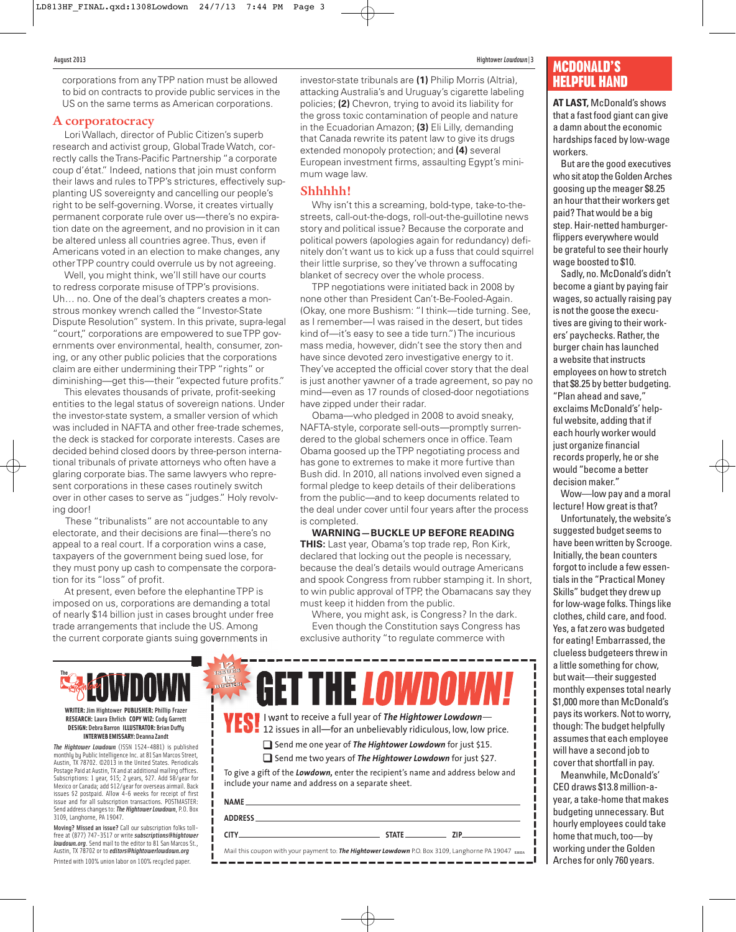corporations from any TPP nation must be allowed to bid on contracts to provide public services in the US on the same terms as American corporations.

#### **A corporatocracy**

Lori Wallach, director of Public Citizen's superb research and activist group, Global Trade Watch, correctly calls the Trans-Pacific Partnership "a corporate coup d'état." Indeed, nations that join must conform their laws and rules to TPP's strictures, effectively supplanting US sovereignty and cancelling our people's right to be self-governing. Worse, it creates virtually permanent corporate rule over us—there's no expiration date on the agreement, and no provision in it can be altered unless all countries agree. Thus, even if Americans voted in an election to make changes, any other TPP country could overrule us by not agreeing.

Well, you might think, we'll still have our courts to redress corporate misuse of TPP's provisions. Uh… no. One of the deal's chapters creates a monstrous monkey wrench called the "Investor-State Dispute Resolution" system. In this private, supra-legal "court," corporations are empowered to sue TPP governments over environmental, health, consumer, zoning, or any other public policies that the corporations claim are either undermining their TPP "rights" or diminishing—get this—their "expected future profits."

This elevates thousands of private, profit-seeking entities to the legal status of sovereign nations. Under the investor-state system, a smaller version of which was included in NAFTA and other free-trade schemes, the deck is stacked for corporate interests. Cases are decided behind closed doors by three-person international tribunals of private attorneys who often have a glaring corporate bias. The same lawyers who represent corporations in these cases routinely switch over in other cases to serve as "judges." Holy revolving door!

These "tribunalists" are not accountable to any electorate, and their decisions are final—there's no appeal to a real court. If a corporation wins a case, taxpayers of the government being sued lose, for they must pony up cash to compensate the corporation for its "loss" of profit.

At present, even before the elephantine TPP is imposed on us, corporations are demanding a total of nearly \$14 billion just in cases brought under free trade arrangements that include the US. Among the current corporate giants suing governments in

investor-state tribunals are **(1)** Philip Morris (Altria), attacking Australia's and Uruguay's cigarette labeling policies; **(2)** Chevron, trying to avoid its liability for the gross toxic contamination of people and nature in the Ecuadorian Amazon; **(3)** Eli Lilly, demanding that Canada rewrite its patent law to give its drugs extended monopoly protection; and **(4)** several European investment firms, assaulting Egypt's minimum wage law.

#### **Shhhhh!**

Why isn't this a screaming, bold-type, take-to-thestreets, call-out-the-dogs, roll-out-the-guillotine news story and political issue? Because the corporate and political powers (apologies again for redundancy) definitely don't want us to kick up a fuss that could squirrel their little surprise, so they've thrown a suffocating blanket of secrecy over the whole process.

TPP negotiations were initiated back in 2008 by none other than President Can't-Be-Fooled-Again. (Okay, one more Bushism: "I think—tide turning. See, as I remember—I was raised in the desert, but tides kind of—it's easy to see a tide turn.") The incurious mass media, however, didn't see the story then and have since devoted zero investigative energy to it. They've accepted the official cover story that the deal is just another yawner of a trade agreement, so pay no mind—even as 17 rounds of closed-door negotiations have zipped under their radar.

Obama—who pledged in 2008 to avoid sneaky, NAFTA-style, corporate sell-outs—promptly surrendered to the global schemers once in office. Team Obama goosed up the TPP negotiating process and has gone to extremes to make it more furtive than Bush did. In 2010, all nations involved even signed a formal pledge to keep details of their deliberations from the public—and to keep documents related to the deal under cover until four years after the process is completed.

**WARNING—BUCKLE UP BEFORE READING THIS:** Last year, Obama's top trade rep, Ron Kirk,

declared that locking out the people is necessary, because the deal's details would outrage Americans and spook Congress from rubber stamping it. In short, to win public approval of TPP, the Obamacans say they must keep it hidden from the public.

Where, you might ask, is Congress? In the dark. Even though the Constitution says Congress has exclusive authority "to regulate commerce with



#### August 2013 Hightower *Lowdown* 3 Hightower Lowdown | 3

## **MCDONALD'S HELPFUL HAND**

**AT LAST,** McDonald's shows that a fast food giant can give a damn about the economic hardships faced by low-wage workers.

But are the good executives who sit atop the Golden Arches goosing up the meager \$8.25 an hour that their workers get paid? That would be a big step. Hair-netted hamburgerflippers everywhere would be grateful to see their hourly wage boosted to \$10.

Sadly, no. McDonald's didn't become a giant by paying fair wages, so actually raising pay is not the goose the executives are giving to their workers' paychecks. Rather, the burger chain has launched a website that instructs employees on how to stretch that \$8.25 by better budgeting. "Plan ahead and save," exclaims McDonald's' helpful website, adding that if each hourly worker would just organize financial records properly, he or she would "become a better decision maker."

Wow—low pay and a moral lecture! How great is that?

Unfortunately, the website's suggested budget seems to have been written by Scrooge. Initially, the bean counters forgot to include a few essentials in the "Practical Money Skills" budget they drew up for low-wage folks. Things like clothes, child care, and food. Yes, a fat zero was budgeted for eating! Embarrassed, the clueless budgeteers threw in a little something for chow, but wait—their suggested monthly expenses total nearly \$1,000 more than McDonald's pays its workers. Not to worry, though: The budget helpfully assumes that each employee will have a second job to cover that shortfall in pay.

Meanwhile, McDonald's' CEO draws \$13.8 million-ayear, a take-home that makes budgeting unnecessary. But hourly employees could take home that much, too—by working under the Golden Arches for only 760 years.